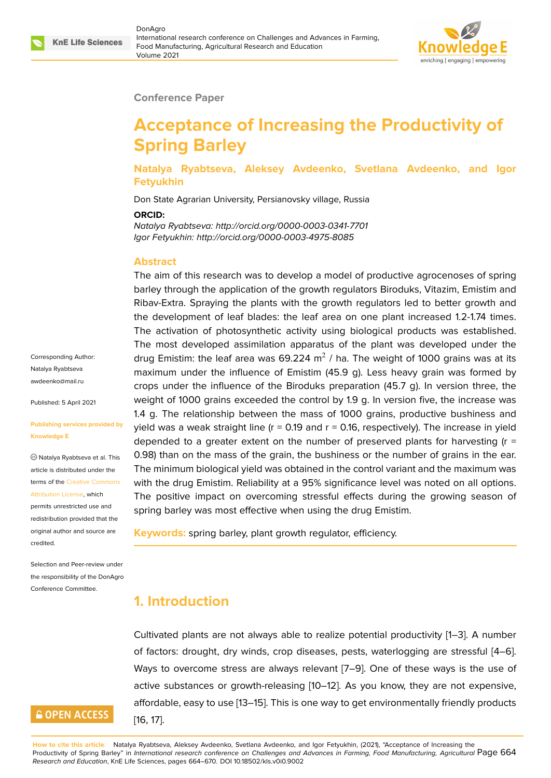

#### **Conference Paper**

# **Acceptance of Increasing the Productivity of Spring Barley**

**Natalya Ryabtseva, Aleksey Avdeenko, Svetlana Avdeenko, and Igor Fetyukhin**

Don State Agrarian University, Persianovsky village, Russia

#### **ORCID:**

*Natalya Ryabtseva: http://orcid.org/0000-0003-0341-7701 Igor Fetyukhin: http://orcid.org/0000-0003-4975-8085*

#### **Abstract**

The aim of this research was to develop a model of productive agrocenoses of spring barley through the application of the growth regulators Biroduks, Vitazim, Emistim and Ribav-Extra. Spraying the plants with the growth regulators led to better growth and the development of leaf blades: the leaf area on one plant increased 1.2-1.74 times. The activation of photosynthetic activity using biological products was established. The most developed assimilation apparatus of the plant was developed under the drug Emistim: the leaf area was 69.224 m $^2$  / ha. The weight of 1000 grains was at its maximum under the influence of Emistim (45.9 g). Less heavy grain was formed by crops under the influence of the Biroduks preparation (45.7 g). In version three, the weight of 1000 grains exceeded the control by 1.9 g. In version five, the increase was 1.4 g. The relationship between the mass of 1000 grains, productive bushiness and yield was a weak straight line ( $r = 0.19$  and  $r = 0.16$ , respectively). The increase in yield depended to a greater extent on the number of preserved plants for harvesting  $(r =$ 0.98) than on the mass of the grain, the bushiness or the number of grains in the ear. The minimum biological yield was obtained in the control variant and the maximum was with the drug Emistim. Reliability at a 95% significance level was noted on all options. The positive impact on overcoming stressful effects during the growing season of spring barley was most effective when using the drug Emistim.

**Keywords:** spring barley, plant growth regulator, efficiency.

## **1. Introduction**

Cultivated plants are not always able to realize potential productivity [1–3]. A number of factors: drought, dry winds, crop diseases, pests, waterlogging are stressful [4–6]. Ways to overcome stress are always relevant [7–9]. One of these ways is the use of active substances or growth-releasing [10–12]. As you know, they are [n](#page-5-0)[ot](#page-5-1) expensive, affordable, easy to use [13–15]. This is one way to get environmentally friendly pro[du](#page-5-2)[ct](#page-5-3)s [16, 17].

Corresponding Author: Natalya Ryabtseva awdeenko@mail.ru

Published: 5 April 2021

#### **[Publishing services](mailto:awdeenko@mail.ru) provided by Knowledge E**

Natalya Ryabtseva et al. This article is distributed under the terms of the Creative Commons Attribution License, which

permits unrestricted use and redistribution provided that the original auth[or and source are](https://creativecommons.org/licenses/by/4.0/) [credited.](https://creativecommons.org/licenses/by/4.0/)

Selection and Peer-review under the responsibility of the DonAgro Conference Committee.

# **GOPEN ACCESS**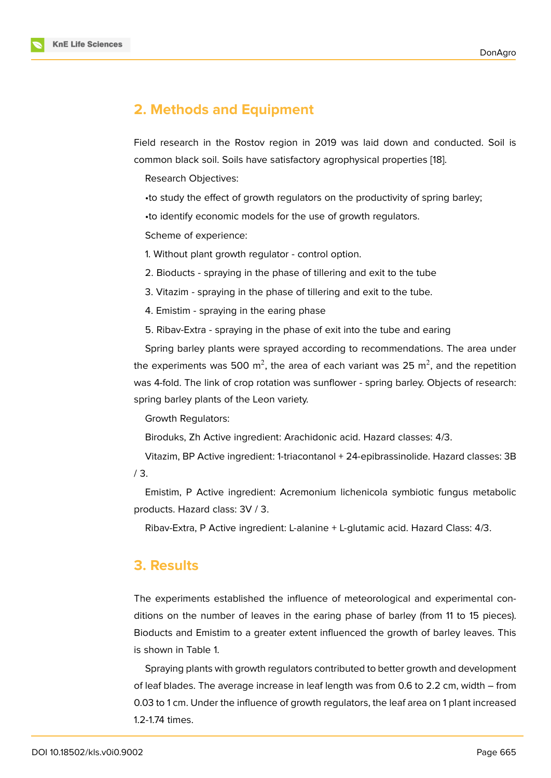### **2. Methods and Equipment**

Field research in the Rostov region in 2019 was laid down and conducted. Soil is common black soil. Soils have satisfactory agrophysical properties [18].

Research Objectives:

•to study the effect of growth regulators on the productivity of sp[rin](#page-6-4)g barley;

•to identify economic models for the use of growth regulators.

Scheme of experience:

1. Without plant growth regulator - control option.

2. Bioducts - spraying in the phase of tillering and exit to the tube

3. Vitazim - spraying in the phase of tillering and exit to the tube.

4. Emistim - spraying in the earing phase

5. Ribav-Extra - spraying in the phase of exit into the tube and earing

Spring barley plants were sprayed according to recommendations. The area under the experiments was 500 m<sup>2</sup>, the area of each variant was 25 m<sup>2</sup>, and the repetition was 4-fold. The link of crop rotation was sunflower - spring barley. Objects of research: spring barley plants of the Leon variety.

Growth Regulators:

Biroduks, Zh Active ingredient: Arachidonic acid. Hazard classes: 4/3.

Vitazim, BP Active ingredient: 1-triacontanol + 24-epibrassinolide. Hazard classes: 3B / 3.

Emistim, P Active ingredient: Acremonium lichenicola symbiotic fungus metabolic products. Hazard class: 3V / 3.

Ribav-Extra, P Active ingredient: L-alanine + L-glutamic acid. Hazard Class: 4/3.

#### **3. Results**

The experiments established the influence of meteorological and experimental conditions on the number of leaves in the earing phase of barley (from 11 to 15 pieces). Bioducts and Emistim to a greater extent influenced the growth of barley leaves. This is shown in Table 1.

Spraying plants with growth regulators contributed to better growth and development of leaf blades. The average increase in leaf length was from 0.6 to 2.2 cm, width – from 0.03 to 1 cm. Under the influence of growth regulators, the leaf area on 1 plant increased 1.2-1.74 times.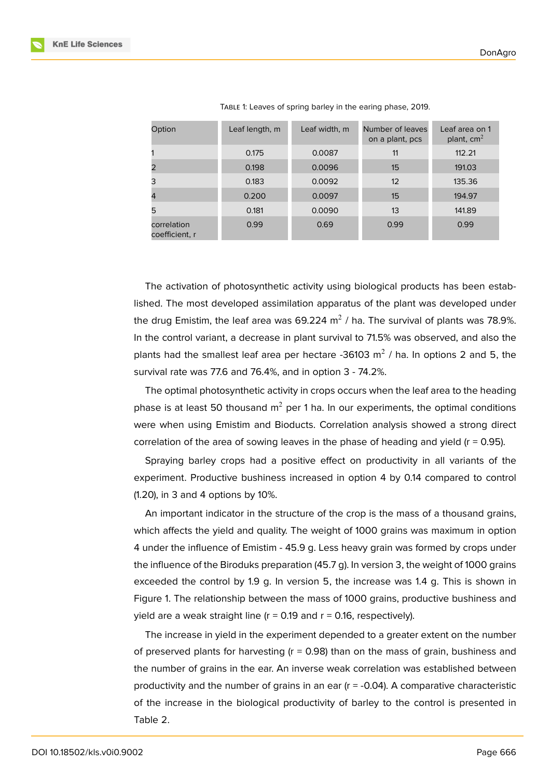| Option                        | Leaf length, m | Leaf width, m | Number of leaves<br>on a plant, pcs | Leaf area on 1<br>plant, $cm2$ |
|-------------------------------|----------------|---------------|-------------------------------------|--------------------------------|
|                               | 0.175          | 0.0087        | 11                                  | 112.21                         |
|                               | 0.198          | 0.0096        | 15                                  | 191.03                         |
| 3                             | 0.183          | 0.0092        | 12                                  | 135.36                         |
| $\overline{4}$                | 0.200          | 0.0097        | 15                                  | 194.97                         |
| 5                             | 0.181          | 0.0090        | 13                                  | 141.89                         |
| correlation<br>coefficient, r | 0.99           | 0.69          | 0.99                                | 0.99                           |

TABLE 1: Leaves of spring barley in the earing phase, 2019.

The activation of photosynthetic activity using biological products has been established. The most developed assimilation apparatus of the plant was developed under the drug Emistim, the leaf area was 69.224 m $^2$  / ha. The survival of plants was 78.9%. In the control variant, a decrease in plant survival to 71.5% was observed, and also the plants had the smallest leaf area per hectare -36103 m<sup>2</sup> / ha. In options 2 and 5, the survival rate was 77.6 and 76.4%, and in option 3 - 74.2%.

The optimal photosynthetic activity in crops occurs when the leaf area to the heading phase is at least 50 thousand  $m^2$  per 1 ha. In our experiments, the optimal conditions were when using Emistim and Bioducts. Correlation analysis showed a strong direct correlation of the area of sowing leaves in the phase of heading and yield ( $r = 0.95$ ).

Spraying barley crops had a positive effect on productivity in all variants of the experiment. Productive bushiness increased in option 4 by 0.14 compared to control (1.20), in 3 and 4 options by 10%.

An important indicator in the structure of the crop is the mass of a thousand grains, which affects the yield and quality. The weight of 1000 grains was maximum in option 4 under the influence of Emistim - 45.9 g. Less heavy grain was formed by crops under the influence of the Biroduks preparation (45.7 g). In version 3, the weight of 1000 grains exceeded the control by 1.9 g. In version 5, the increase was 1.4 g. This is shown in Figure 1. The relationship between the mass of 1000 grains, productive bushiness and yield are a weak straight line ( $r = 0.19$  and  $r = 0.16$ , respectively).

The increase in yield in the experiment depended to a greater extent on the number of pr[e](#page-3-0)served plants for harvesting  $(r = 0.98)$  than on the mass of grain, bushiness and the number of grains in the ear. An inverse weak correlation was established between productivity and the number of grains in an ear  $(r = -0.04)$ . A comparative characteristic of the increase in the biological productivity of barley to the control is presented in Table 2.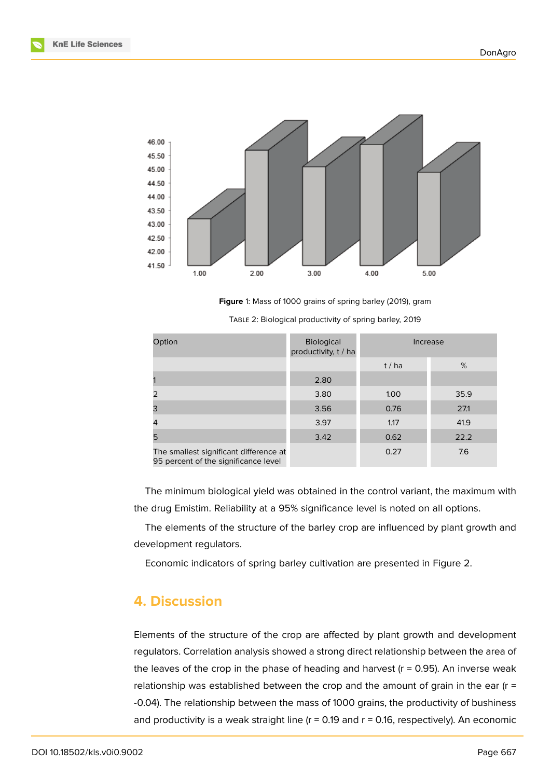

**Figure** 1: Mass of 1000 grains of spring barley (2019), gram

| Option                                                                         | Biological<br>productivity, t / ha | Increase |      |
|--------------------------------------------------------------------------------|------------------------------------|----------|------|
|                                                                                |                                    | t/ha     | %    |
|                                                                                | 2.80                               |          |      |
| 2                                                                              | 3.80                               | 1.00     | 35.9 |
| 3                                                                              | 3.56                               | 0.76     | 27.1 |
| 4                                                                              | 3.97                               | 1.17     | 41.9 |
| 5                                                                              | 3.42                               | 0.62     | 22.2 |
| The smallest significant difference at<br>95 percent of the significance level |                                    | 0.27     | 7.6  |

<span id="page-3-0"></span>TABLE 2: Biological productivity of spring barley, 2019

The minimum biological yield was obtained in the control variant, the maximum with the drug Emistim. Reliability at a 95% significance level is noted on all options.

The elements of the structure of the barley crop are influenced by plant growth and development regulators.

Economic indicators of spring barley cultivation are presented in Figure 2.

#### **4. Discussion**

Elements of the structure of the crop are affected by plant growth and development regulators. Correlation analysis showed a strong direct relationship between the area of the leaves of the crop in the phase of heading and harvest  $(r = 0.95)$ . An inverse weak relationship was established between the crop and the amount of grain in the ear  $(r =$ -0.04). The relationship between the mass of 1000 grains, the productivity of bushiness and productivity is a weak straight line  $(r = 0.19$  and  $r = 0.16$ , respectively). An economic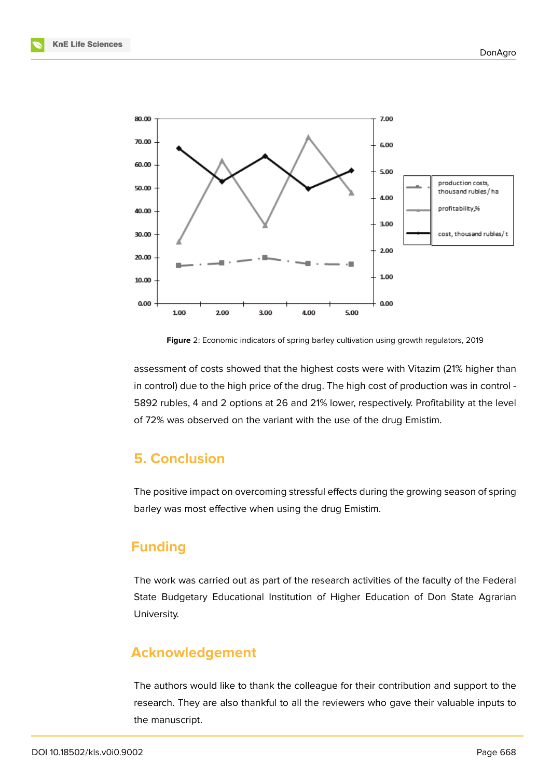

**Figure** 2: Economic indicators of spring barley cultivation using growth regulators, 2019

assessment of costs showed that the highest costs were with Vitazim (21% higher than in control) due to the high price of the drug. The high cost of production was in control - 5892 rubles, 4 and 2 options at 26 and 21% lower, respectively. Profitability at the level of 72% was observed on the variant with the use of the drug Emistim.

### **5. Conclusion**

The positive impact on overcoming stressful effects during the growing season of spring barley was most effective when using the drug Emistim.

# **Funding**

The work was carried out as part of the research activities of the faculty of the Federal State Budgetary Educational Institution of Higher Education of Don State Agrarian University.

### **Acknowledgement**

The authors would like to thank the colleague for their contribution and support to the research. They are also thankful to all the reviewers who gave their valuable inputs to the manuscript.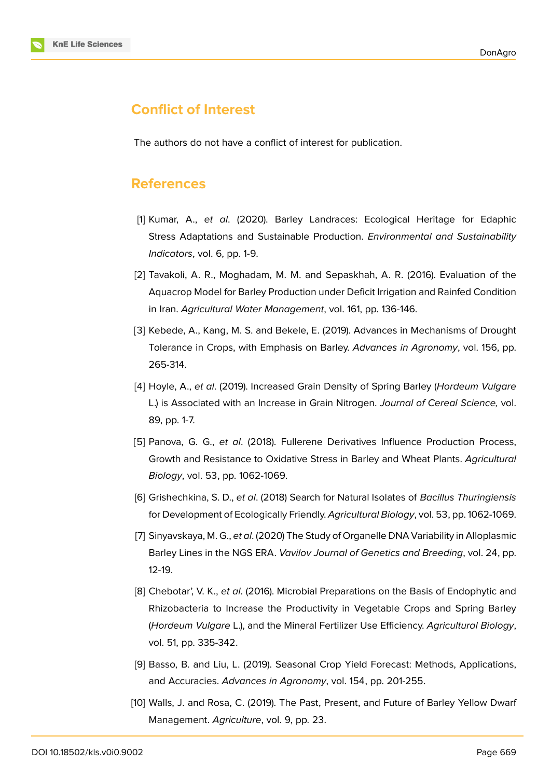

# **Conflict of Interest**

The authors do not have a conflict of interest for publication.

### **References**

- <span id="page-5-0"></span>[1] Kumar, A., *et al*. (2020). Barley Landraces: Ecological Heritage for Edaphic Stress Adaptations and Sustainable Production. *Environmental and Sustainability Indicators*, vol. 6, pp. 1-9.
- [2] Tavakoli, A. R., Moghadam, M. M. and Sepaskhah, A. R. (2016). Evaluation of the Aquacrop Model for Barley Production under Deficit Irrigation and Rainfed Condition in Iran. *Agricultural Water Management*, vol. 161, pp. 136-146.
- <span id="page-5-1"></span>[3] Kebede, A., Kang, M. S. and Bekele, E. (2019). Advances in Mechanisms of Drought Tolerance in Crops, with Emphasis on Barley. *Advances in Agronomy*, vol. 156, pp. 265-314.
- <span id="page-5-2"></span>[4] Hoyle, A., *et al*. (2019). Increased Grain Density of Spring Barley (*Hordeum Vulgare* L.) is Associated with an Increase in Grain Nitrogen. *Journal of Cereal Science,* vol. 89, pp. 1-7.
- [5] Panova, G. G., *et al*. (2018). Fullerene Derivatives Influence Production Process, Growth and Resistance to Oxidative Stress in Barley and Wheat Plants. *Agricultural Biology*, vol. 53, pp. 1062-1069.
- <span id="page-5-3"></span>[6] Grishechkina, S. D., *et al*. (2018) Search for Natural Isolates of *Bacillus Thuringiensis* for Development of Ecologically Friendly. *Agricultural Biology*, vol. 53, pp. 1062-1069.
- [7] Sinyavskaya, M. G., *et al*. (2020) The Study of Organelle DNA Variability in Alloplasmic Barley Lines in the NGS ERA. *Vavilov Journal of Genetics and Breeding*, vol. 24, pp. 12-19.
- [8] Chebotar', V. K., *et al*. (2016). Microbial Preparations on the Basis of Endophytic and Rhizobacteria to Increase the Productivity in Vegetable Crops and Spring Barley (*Hordeum Vulgare* L.), and the Mineral Fertilizer Use Efficiency. *Agricultural Biology*, vol. 51, pp. 335-342.
- [9] Basso, B. and Liu, L. (2019). Seasonal Crop Yield Forecast: Methods, Applications, and Accuracies. *Advances in Agronomy*, vol. 154, pp. 201-255.
- [10] Walls, J. and Rosa, C. (2019). The Past, Present, and Future of Barley Yellow Dwarf Management. *Agriculture*, vol. 9, pp. 23.